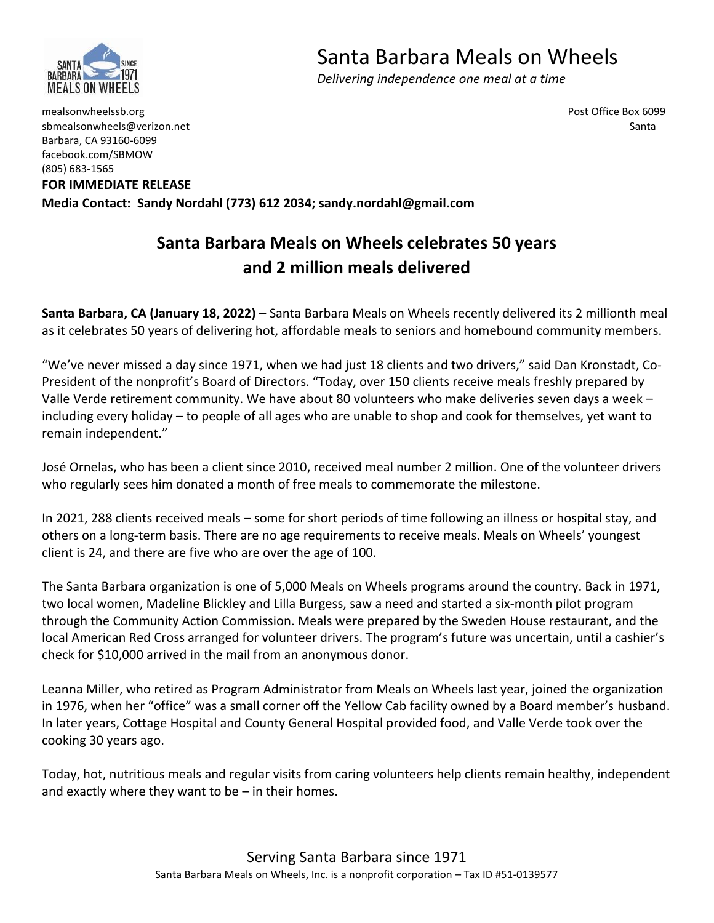

## Santa Barbara Meals on Wheels

 *Delivering independence one meal at a time*

mealsonwheelssb.org Post Office Box 6099 sbmealsonwheels@verizon.net Santa Barbara, CA 93160-6099 facebook.com/SBMOW (805) 683-1565

**FOR IMMEDIATE RELEASE**

**Media Contact: Sandy Nordahl (773) 612 2034; sandy.nordahl@gmail.com**

## **Santa Barbara Meals on Wheels celebrates 50 years and 2 million meals delivered**

**Santa Barbara, CA (January 18, 2022)** – Santa Barbara Meals on Wheels recently delivered its 2 millionth meal as it celebrates 50 years of delivering hot, affordable meals to seniors and homebound community members.

"We've never missed a day since 1971, when we had just 18 clients and two drivers," said Dan Kronstadt, Co-President of the nonprofit's Board of Directors. "Today, over 150 clients receive meals freshly prepared by Valle Verde retirement community. We have about 80 volunteers who make deliveries seven days a week – including every holiday – to people of all ages who are unable to shop and cook for themselves, yet want to remain independent."

José Ornelas, who has been a client since 2010, received meal number 2 million. One of the volunteer drivers who regularly sees him donated a month of free meals to commemorate the milestone.

In 2021, 288 clients received meals – some for short periods of time following an illness or hospital stay, and others on a long-term basis. There are no age requirements to receive meals. Meals on Wheels' youngest client is 24, and there are five who are over the age of 100.

The Santa Barbara organization is one of 5,000 Meals on Wheels programs around the country. Back in 1971, two local women, Madeline Blickley and Lilla Burgess, saw a need and started a six-month pilot program through the Community Action Commission. Meals were prepared by the Sweden House restaurant, and the local American Red Cross arranged for volunteer drivers. The program's future was uncertain, until a cashier's check for \$10,000 arrived in the mail from an anonymous donor.

Leanna Miller, who retired as Program Administrator from Meals on Wheels last year, joined the organization in 1976, when her "office" was a small corner off the Yellow Cab facility owned by a Board member's husband. In later years, Cottage Hospital and County General Hospital provided food, and Valle Verde took over the cooking 30 years ago.

Today, hot, nutritious meals and regular visits from caring volunteers help clients remain healthy, independent and exactly where they want to be  $-$  in their homes.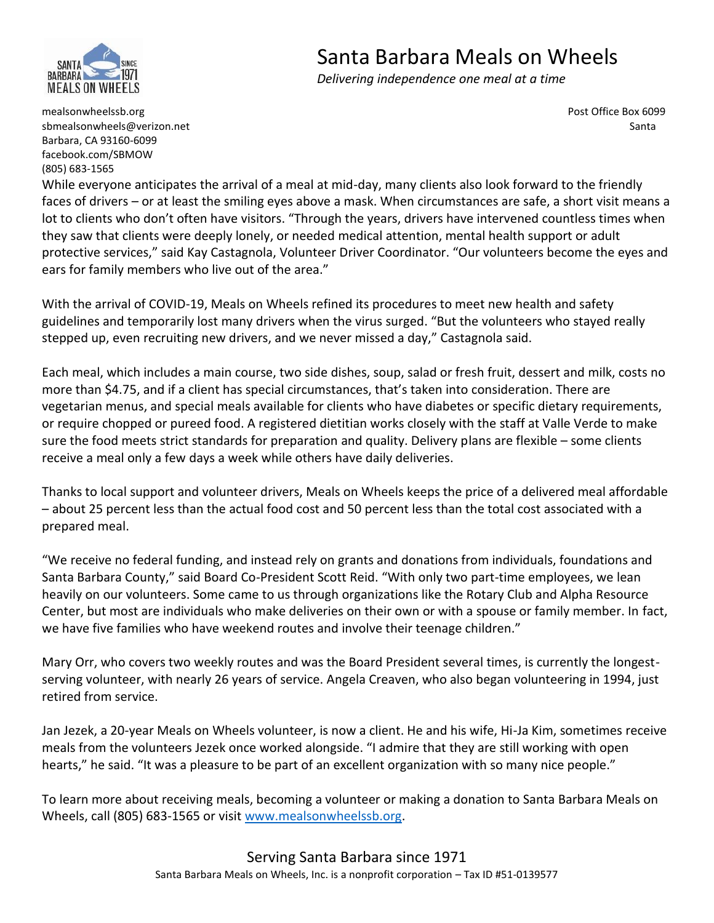

## Santa Barbara Meals on Wheels

 *Delivering independence one meal at a time*

mealsonwheelssb.org Post Office Box 6099 sbmealsonwheels@verizon.net Santa Barbara, CA 93160-6099 facebook.com/SBMOW (805) 683-1565

While everyone anticipates the arrival of a meal at mid-day, many clients also look forward to the friendly faces of drivers – or at least the smiling eyes above a mask. When circumstances are safe, a short visit means a lot to clients who don't often have visitors. "Through the years, drivers have intervened countless times when they saw that clients were deeply lonely, or needed medical attention, mental health support or adult protective services," said Kay Castagnola, Volunteer Driver Coordinator. "Our volunteers become the eyes and ears for family members who live out of the area."

With the arrival of COVID-19, Meals on Wheels refined its procedures to meet new health and safety guidelines and temporarily lost many drivers when the virus surged. "But the volunteers who stayed really stepped up, even recruiting new drivers, and we never missed a day," Castagnola said.

Each meal, which includes a main course, two side dishes, soup, salad or fresh fruit, dessert and milk, costs no more than \$4.75, and if a client has special circumstances, that's taken into consideration. There are vegetarian menus, and special meals available for clients who have diabetes or specific dietary requirements, or require chopped or pureed food. A registered dietitian works closely with the staff at Valle Verde to make sure the food meets strict standards for preparation and quality. Delivery plans are flexible – some clients receive a meal only a few days a week while others have daily deliveries.

Thanks to local support and volunteer drivers, Meals on Wheels keeps the price of a delivered meal affordable – about 25 percent less than the actual food cost and 50 percent less than the total cost associated with a prepared meal.

"We receive no federal funding, and instead rely on grants and donations from individuals, foundations and Santa Barbara County," said Board Co-President Scott Reid. "With only two part-time employees, we lean heavily on our volunteers. Some came to us through organizations like the Rotary Club and Alpha Resource Center, but most are individuals who make deliveries on their own or with a spouse or family member. In fact, we have five families who have weekend routes and involve their teenage children."

Mary Orr, who covers two weekly routes and was the Board President several times, is currently the longestserving volunteer, with nearly 26 years of service. Angela Creaven, who also began volunteering in 1994, just retired from service.

Jan Jezek, a 20-year Meals on Wheels volunteer, is now a client. He and his wife, Hi-Ja Kim, sometimes receive meals from the volunteers Jezek once worked alongside. "I admire that they are still working with open hearts," he said. "It was a pleasure to be part of an excellent organization with so many nice people."

To learn more about receiving meals, becoming a volunteer or making a donation to Santa Barbara Meals on Wheels, call (805) 683-1565 or visit [www.mealsonwheelssb.org.](http://www.mealsonwheelssb.org/)